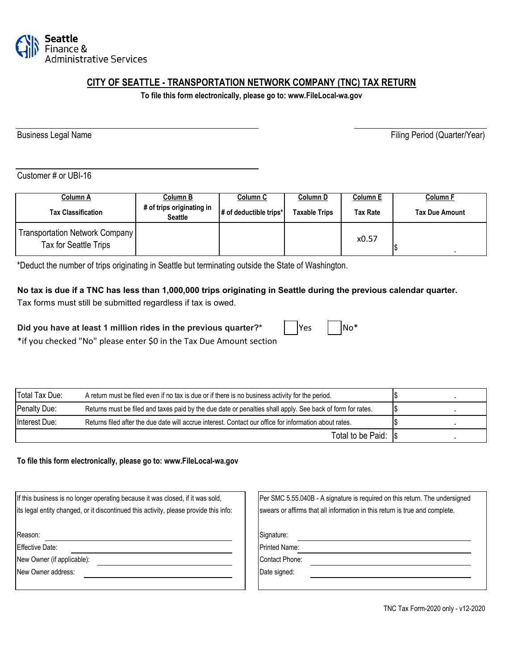

# **CITY OF SEATTLE - TRANSPORTATION NETWORK COMPANY (TNC) TAX RETURN**

**To file this form electronically, please go to: www.FileLocal-wa.gov**

Business Legal Name **Filing Period** (Quarter/Year)

Customer # or UBI-16

| Column A                                                | Column B                                    | Column C                              | Column D      | Column E | <b>Column F</b>       |
|---------------------------------------------------------|---------------------------------------------|---------------------------------------|---------------|----------|-----------------------|
| <b>Tax Classification</b>                               | # of trips originating in<br><b>Seattle</b> | $\#$ of deductible trips <sup>*</sup> | Taxable Trips | Tax Rate | <b>Tax Due Amount</b> |
| Transportation Network Company<br>Tax for Seattle Trips |                                             |                                       |               | x0.57    |                       |

\*Deduct the number of trips originating in Seattle but terminating outside the State of Washington.

#### **No tax is due if a TNC has less than 1,000,000 trips originating in Seattle during the previous calendar quarter.**

Tax forms must still be submitted regardless if tax is owed.

\*if you checked "No" please enter \$0 in the Tax Due Amount section

Did you have at least 1 million rides in the previous quarter?\*

| Total Tax Due: | A return must be filed even if no tax is due or if there is no business activity for the period.           |  |
|----------------|------------------------------------------------------------------------------------------------------------|--|
| Penalty Due:   | Returns must be filed and taxes paid by the due date or penalties shall apply. See back of form for rates. |  |
| Interest Due:  | Returns filed after the due date will accrue interest. Contact our office for information about rates.     |  |
|                | Total to be Paid: Is                                                                                       |  |

**To file this form electronically, please go to: www.FileLocal-wa.gov**

| If this business is no longer operating because it was closed, if it was sold,        | Per SMC 5.55.040B - A signature is required on this return. The undersigned |
|---------------------------------------------------------------------------------------|-----------------------------------------------------------------------------|
| its legal entity changed, or it discontinued this activity, please provide this info: | swears or affirms that all information in this return is true and complete. |
|                                                                                       |                                                                             |
| Reason:                                                                               | Signature:                                                                  |
| <b>Effective Date:</b>                                                                | <b>Printed Name:</b>                                                        |
| New Owner (if applicable):                                                            | <b>Contact Phone:</b>                                                       |
| New Owner address:                                                                    | Date signed:                                                                |
|                                                                                       |                                                                             |